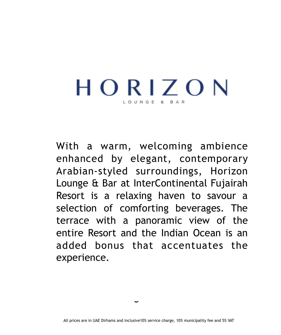# HORIZON

With a warm, welcoming ambience enhanced by elegant, contemporary Arabian-styled surroundings, Horizon Lounge & Bar at InterContinental Fujairah Resort is a relaxing haven to savour a selection of comforting beverages. The terrace with a panoramic view of the entire Resort and the Indian Ocean is an added bonus that accentuates the experience.

Selection of Signature Mocktails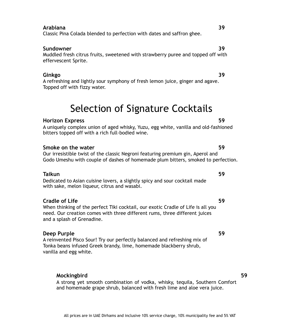#### All prices are in UAE Dirhams and inclusive 10% service charge, 10% municipality fee and 5% VAT

### **Arabiana 39**

Classic Pina Colada blended to perfection with dates and saffron ghee.

### **Sundowner 39**

Muddled fresh citrus fruits, sweetened with strawberry puree and topped off with effervescent Sprite.

### **Ginkgo 39**

A refreshing and lightly sour symphony of fresh lemon juice, ginger and agave. Topped off with fizzy water.

# Selection of Signature Cocktails

### **Horizon Express 59**

A uniquely complex union of aged whisky, Yuzu, egg white, vanilla and old-fashioned bitters topped off with a rich full-bodied wine.

### **Smoke on the water 59**

Our irresistible twist of the classic Negroni featuring premium gin, Aperol and Godo Umeshu with couple of dashes of homemade plum bitters, smoked to perfection.

### **Taikun 59**

Dedicated to Asian cuisine lovers, a slightly spicy and sour cocktail made with sake, melon liqueur, citrus and wasabi.

### **Cradle of Life 59**

When thinking of the perfect Tiki cocktail, our exotic Cradle of Life is all you need. Our creation comes with three different rums, three different juices and a splash of Grenadine.

### **Deep Purple 59**

A reinvented Pisco Sour! Try our perfectly balanced and refreshing mix of Tonka beans infused Greek brandy, lime, homemade blackberry shrub, vanilla and egg white.

### **Mockingbird 59**

A strong yet smooth combination of vodka, whisky, tequila, Southern Comfort and homemade grape shrub, balanced with fresh lime and aloe vera juice.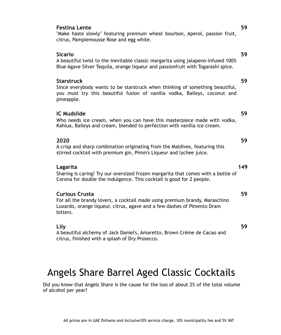#### **Festina Lente 59**

"Make haste slowly" featuring premium wheat bourbon, Aperol, passion fruit, citrus, Pamplemousse Rose and egg white.

#### **Sicario 59**

A beautiful twist to the inevitable classic margarita using jalapeno-infused 100% Blue Agave Silver Tequila, orange liqueur and passionfruit with Togarashi spice.

#### **Starstruck 59**

Since everybody wants to be starstruck when thinking of something beautiful, you must try this beautiful fusion of vanilla vodka, Baileys, coconut and pineapple.

#### **IC Mudslide 59**

Who needs ice cream, when you can have this masterpiece made with vodka, Kahlua, Baileys and cream, blended to perfection with vanilla ice cream.

#### **2020 59**

A crisp and sharp combination originating from the Maldives, featuring this stirred cocktail with premium gin, Pimm's Liqueur and lychee juice.

#### **Lagarita 149**

Sharing is caring! Try our oversized frozen margarita that comes with a bottle of Corona for double the indulgence. This cocktail is good for 2 people.

#### **Curious Crusta 59**

For all the brandy lovers, a cocktail made using premium brandy, Maraschino Luxardo, orange liqueur, citrus, agave and a few dashes of Pimento Dram bitters.

#### **Lily 59**

A beautiful alchemy of Jack Daniel's, Amaretto, Brown Crème de Cacao and citrus, finished with a splash of Dry Prosecco.

# Angels Share Barrel Aged Classic Cocktails

Did you know that Angels Share is the cause for the loss of about 2% of the total volume of alcohol per year?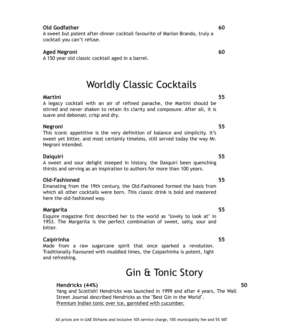### **Old Godfather 60**

A sweet but potent after-dinner cocktail favourite of Marlon Brando, truly a cocktail you can't refuse.

### **Aged Negroni 60**

A 150 year old classic cocktail aged in a barrel.

# Worldly Classic Cocktails

### **Martini 55**

A legacy cocktail with an air of refined panache, the Martini should be stirred and never shaken to retain its clarity and composure. After all, it is suave and debonair, crisp and dry.

#### **Negroni 55**

This iconic appetitive is the very definition of balance and simplicity. It's sweet yet bitter, and most certainly timeless, still served today the way Mr. Negroni intended.

### **Daiquiri 55**

A sweet and sour delight steeped in history, the Daiquiri been quenching thirsts and serving as an inspiration to authors for more than 100 years.

### **Old-Fashioned 55**

Emanating from the 19th century, the Old-Fashioned formed the basis from which all other cocktails were born. This classic drink is bold and mastered here the old-fashioned way.

### **Margarita 55**

Esquire magazine first described her to the world as 'lovely to look at' in 1953. The Margarita is the perfect combination of sweet, salty, sour and bitter.

### **Caipirinha 55**

Made from a raw sugarcane spirit that once sparked a revolution. Traditionally flavoured with muddled limes, the Caiparhinha is potent, light and refreshing.

# Gin & Tonic Story

### **Hendricks (44%) 50**

Yang and Scottish! Hendricks was launched in 1999 and after 4 years, The Wall Street Journal described Hendricks as the "Best Gin in the World". Premium Indian tonic over ice, garnished with cucumber.

#### All prices are in UAE Dirhams and inclusive 10% service charge, 10% municipality fee and 5% VAT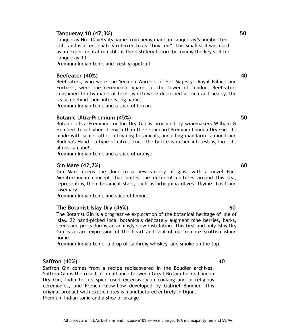#### **Tanqueray 10 (47,3%)** 50

Tanqueray No. 10 gets its name from being made in Tanqueray's number ten still, and is affectionately referred to as "Tiny Ten". This small still was used as an experimental run still at the distillery before becoming the key still for Tanqueray 10.

Premium Indian tonic and fresh grapefruit

#### **Beefeater (40%) 40**

Beefeaters, who were the Yeomen Warders of Her Majesty's Royal Palace and Fortress, were the ceremonial guards of the Tower of London. Beefeaters consumed broths made of beef, which were described as rich and hearty, the reason behind their interesting name.

Premium Indian tonic and a slice of lemon.

#### **Botanic Ultra-Premium (45%) 50**

Botanic Ultra-Premium London Dry Gin is produced by winemakers William & Humbert to a higher strength than their standard Premium London Dry Gin. It's made with some rather intriguing botanicals, including mandarin, almond and Buddha's Hand - a type of citrus fruit. The bottle is rather interesting too - it's almost a cube!

Premium Indian tonic and a slice of orange

#### **Gin Mare (42,7%) 60**

Gin Mare opens the door to a new variety of gins, with a novel Pan-Mediterranean concept that unites the different cultures around this sea, representing their botanical stars, such as arbequina olives, thyme, basil and rosemary.

Premium Indian tonic and slice of lemon.

#### **The Botanist Islay Dry (46%)** 60

The Botanist Gin is a progressive exploration of the botanical heritage of sle of Islay. 22 hand-picked local botanicals delicately augment nine berries, barks, seeds and peels during an achingly slow distillation. This first and only Islay Dry Gin is a rare expression of the heart and soul of our remote Scottish island home.

All prices are in UAE Dirhams and inclusive10% service charge, 10% municipality fee and 5% VAT

Premium Indian tonic, a drop of Laphroig whiskey, and smoke on the top.

### **Saffron (40%) 40**

Saffron Gin comes from a recipe rediscovered in the Boudier archives. Saffron Gin is the result of an alliance between Great Britain for its London Dry Gin, India for its spice used extensively in cooking and in religious ceremonies, and French know-how developed by Gabriel Boudier. This original product with exotic notes is manufactured entirely in Dijon. Premium Indian tonic and a slice of orange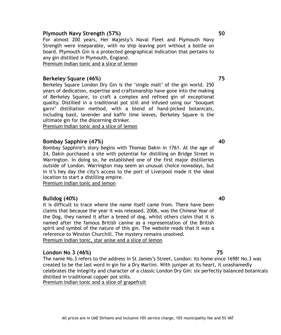#### **Plymouth Navy Strength (57%) 50**

For almost 200 years, Her Majesty's Naval Fleet and Plymouth Navy Strength were inseparable, with no ship leaving port without a bottle on board. Plymouth Gin is a protected geographical Indication that pertains to any gin distilled in Plymouth, England.

Premium Indian tonic and a slice of lemon

#### **Berkeley Square (46%) 75**

Berkeley Square London Dry Gin is the 'single malt' of the gin world. 250 years of dedication, expertise and craftsmanship have gone into the making of Berkeley Square, to craft a complex and refined gin of exceptional quality. Distilled in a traditional pot still and infused using our 'bouquet garni' distillation method, with a blend of hand-picked botanicals, including basil, lavender and kaffir lime leaves, Berkeley Square is the ultimate gin for the discerning drinker.

Premium Indian tonic and a slice of lemon

#### **Bombay Sapphire (47%)** 40

Bombay Sapphire's story begins with Thomas Dakin in 1761. At the age of 24, Dakin purchased a site with potential for distilling on Bridge Street in Warrington. In doing so, he established one of the first major distilleries outside of London. Warrington may seem an unusual choice nowadays, but in it's hey day the city's access to the port of Liverpool made it the ideal location to start a distilling empire.

Premium Indian tonic and lemon

#### **Bulldog (40%) 40**

It is difficult to trace where the name itself came from. There have been claims that because the year it was released, 2006, was the Chinese Year of the Dog, they named it after a breed of dog, whilst others claim that it is named after the famous British canine as a representation of the British spirit and symbol of the nature of this gin. The website reads that it was a reference to Winston Churchill. The mystery remains unsolved. Premium Indian tonic, star anise and a slice of lemon

#### **London No 3 (46%) 75**

The name No.3 refers to the address in St James's Street, London: its home since 1698! No.3 was created to be the last word in gin for a Dry Martini. With juniper at its heart, it unashamedly celebrates the integrity and character of a classic London Dry Gin: six perfectly balanced botanicals distilled in traditional copper pot stills.

Premium Indian tonic and a slice of grapefruit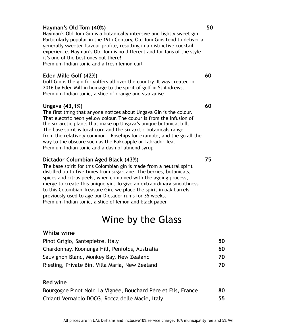#### **Hayman's Old Tom (40%) 50**

Hayman's Old Tom Gin is a botanically intensive and lightly sweet gin. Particularly popular in the 19th Century, Old Tom Gins tend to deliver a generally sweeter flavour profile, resulting in a distinctive cocktail experience. Hayman's Old Tom is no different and for fans of the style, it's one of the best ones out there! Premium Indian tonic and a fresh lemon curl

### **Eden Mille Golf (42%)** 60

Golf Gin is the gin for golfers all over the country. It was created in 2016 by Eden Mill in homage to the spirit of golf in St Andrews. Premium Indian tonic, a slice of orange and star anise

#### **Ungava (43,1%) 60**

The first thing that anyone notices about Ungava Gin is the colour. That electric neon yellow colour. The colour is from the infusion of the six arctic plants that make up Ungava's unique botanical bill. The base spirit is local corn and the six arctic botanicals range from the relatively common— Rosehips for example, and the go all the way to the obscure such as the Bakeapple or Labrador Tea. Premium Indian tonic and a dash of almond syrup

#### **Dictador Columbian Aged Black (43%) 75**

The base spirit for this Colombian gin is made from a neutral spirit distilled up to five times from sugarcane. The berries, botanicals, spices and citrus peels, when combined with the ageing process, merge to create this unique gin. To give an extraordinary smoothness to this Colombian Treasure Gin, we place the spirit in oak barrels previously used to age our Dictador rums for 35 weeks. Premium Indian tonic, a slice of lemon and black paper

# Wine by the Glass

## **White wine**

| Pinot Grigio, Santepietre, Italy                | 50  |
|-------------------------------------------------|-----|
| Chardonnay, Koonunga Hill, Penfolds, Australia  | 60  |
| Sauvignon Blanc, Monkey Bay, New Zealand        | 70  |
| Riesling, Private Bin, Villa Maria, New Zealand | 70. |

### **Red wine**

| Bourgogne Pinot Noir, La Vignée, Bouchard Père et Fils, France | 80 |
|----------------------------------------------------------------|----|
| Chianti Vernaiolo DOCG, Rocca delle Macie, Italy               | 55 |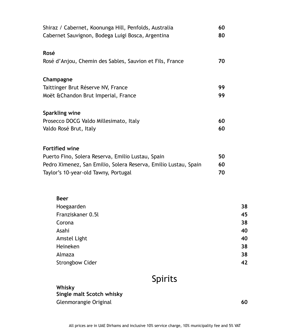| Shiraz / Cabernet, Koonunga Hill, Penfolds, Australia           | 60 |    |
|-----------------------------------------------------------------|----|----|
| Cabernet Sauvignon, Bodega Luigi Bosca, Argentina               | 80 |    |
| Rosé                                                            |    |    |
| Rosé d'Anjou, Chemin des Sables, Sauvion et Fils, France        | 70 |    |
| Champagne                                                       |    |    |
| Taittinger Brut Réserve NV, France                              | 99 |    |
| Moët & Chandon Brut Imperial, France                            | 99 |    |
| Sparkling wine                                                  |    |    |
| Prosecco DOCG Valdo Millesimato, Italy                          | 60 |    |
| Valdo Rosé Brut, Italy                                          | 60 |    |
| <b>Fortified wine</b>                                           |    |    |
| Puerto Fino, Solera Reserva, Emilio Lustau, Spain               | 50 |    |
| Pedro Ximenez, San Emilio, Solera Reserva, Emilio Lustau, Spain | 60 |    |
| Taylor's 10-year-old Tawny, Portugal                            | 70 |    |
| <b>Beer</b>                                                     |    |    |
| Hoegaarden                                                      |    | 38 |
| Franziskaner 0.5l                                               |    | 45 |
| Corona                                                          |    | 38 |
| Asahi                                                           |    | 40 |
| Amstel Light                                                    |    | 40 |
| Heineken                                                        |    | 38 |
| Almaza                                                          |    | 38 |

Spirits

**Whisky Single malt Scotch whisky**  Glenmorangie Original **60** 

Strongbow Cider **42**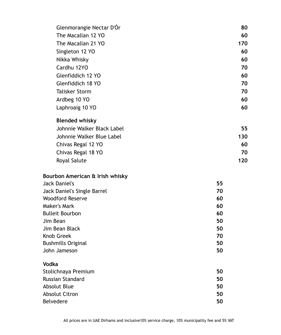| Glenmorangie Nectar D'Or        | 80  |
|---------------------------------|-----|
| The Macallan 12 YO              | 60  |
| The Macallan 21 YO              | 170 |
| Singleton 12 YO                 | 60  |
| Nikka Whisky                    | 60  |
| Cardhu 12YO                     | 70  |
| Glenfiddich 12 YO               | 60  |
| Glenfiddich 18 YO               | 70  |
| <b>Talisker Storm</b>           | 70  |
| Ardbeg 10 YO                    | 60  |
| Laphroaig 10 YO                 | 60  |
| <b>Blended whisky</b>           |     |
| Johnnie Walker Black Label      | 55  |
| Johnnie Walker Blue Label       | 130 |
| Chivas Regal 12 YO              | 60  |
| Chivas Regal 18 YO              | 70  |
| Royal Salute                    | 120 |
| Bourbon American & Irish whisky |     |
| <b>Jack Daniel's</b>            | 55  |
| Jack Daniel's Single Barrel     | 70  |
| <b>Woodford Reserve</b>         | 60  |
| Maker's Mark                    | 60  |
| <b>Bulleit Bourbon</b>          | 60  |
| Jim Bean                        | 50  |
| Jim Bean Black                  | 50  |
| Knob Greek                      | 70  |
| <b>Bushmills Original</b>       | 50  |
| John Jameson                    | 50  |
| <b>Vodka</b>                    |     |
| Stolichnaya Premium             | 50  |
| Russian Standard                | 50  |
| <b>Absolut Blue</b>             | 50  |
| <b>Absolut Citron</b>           | 50  |
| Belvedere                       | 50  |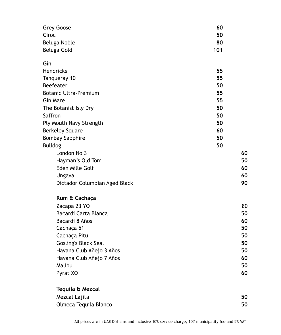| <b>Grey Goose</b>             | 60  |    |
|-------------------------------|-----|----|
| Ciroc                         | 50  |    |
| Beluga Noble                  | 80  |    |
| Beluga Gold                   | 101 |    |
| Gin                           |     |    |
| <b>Hendricks</b>              | 55  |    |
| Tanqueray 10                  | 55  |    |
| Beefeater                     | 50  |    |
| <b>Botanic Ultra-Premium</b>  | 55  |    |
| <b>Gin Mare</b>               | 55  |    |
| The Botanist Isly Dry         | 50  |    |
| Saffron                       | 50  |    |
| Ply Mouth Navy Strength       | 50  |    |
| <b>Berkeley Square</b>        | 60  |    |
| <b>Bombay Sapphire</b>        | 50  |    |
| <b>Bulldog</b>                | 50  |    |
| London No 3                   |     | 60 |
| Hayman's Old Tom              |     | 50 |
| Eden Mille Golf               |     | 60 |
| Ungava                        |     | 60 |
| Dictador Columbian Aged Black |     | 90 |
| Rum & Cachaça                 |     |    |
| Zacapa 23 YO                  |     | 80 |
| Bacardi Carta Blanca          |     | 50 |
| Bacardi 8 Años                |     | 60 |
| Cachaça 51                    |     | 50 |
| Cachaça Pitu                  |     | 50 |
| <b>Gosling's Black Seal</b>   |     | 50 |
| Havana Club Añejo 3 Años      |     | 50 |
| Havana Club Añejo 7 Años      |     | 60 |
| Malibu                        |     | 50 |
| Pyrat XO                      |     | 60 |
| Tequila & Mezcal              |     |    |
| Mezcal Lajita                 |     | 50 |
| Olmeca Tequila Blanco         |     | 50 |
|                               |     |    |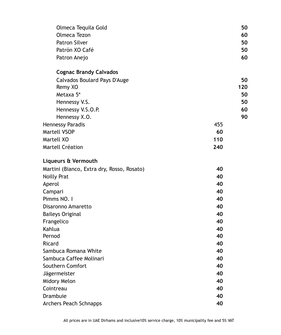| Olmeca Tequila Gold                        |     | 50  |
|--------------------------------------------|-----|-----|
| Olmeca Tezon                               |     | 60  |
| <b>Patron Silver</b>                       |     | 50  |
| Patrón XO Café                             |     | 50  |
| Patron Anejo                               |     | 60  |
| <b>Cognac Brandy Calvados</b>              |     |     |
| Calvados Boulard Pays D'Auge               |     | 50  |
| Remy XO                                    |     | 120 |
| Metaxa 5*                                  |     | 50  |
| Hennessy V.S.                              |     | 50  |
| Hennessy V.S.O.P.                          |     | 60  |
| Hennessy X.O.                              |     | 90  |
| <b>Hennessy Paradis</b>                    | 455 |     |
| Martell VSOP                               | 60  |     |
| Martell XO                                 | 110 |     |
| Martell Création                           | 240 |     |
| Liqueurs & Vermouth                        |     |     |
| Martini (Bianco, Extra dry, Rosso, Rosato) | 40  |     |
| <b>Noilly Prat</b>                         | 40  |     |
| Aperol                                     | 40  |     |
| Campari                                    | 40  |     |
| Pimms NO. I                                | 40  |     |
| Disaronno Amaretto                         | 40  |     |
| <b>Baileys Original</b>                    | 40  |     |
| Frangelico                                 | 40  |     |
| Kahlua                                     | 40  |     |
| Pernod                                     | 40  |     |
| Ricard                                     | 40  |     |
| Sambuca Romana White                       | 40  |     |
| Sambuca Caffee Molinari                    | 40  |     |
| Southern Comfort                           | 40  |     |
| <b>Jägermeister</b>                        | 40  |     |
| Midory Melon                               | 40  |     |
| Cointreau                                  | 40  |     |
| Drambuie                                   | 40  |     |
| <b>Archers Peach Schnapps</b>              | 40  |     |
|                                            |     |     |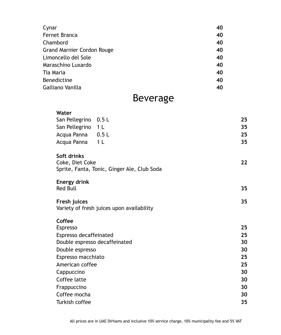| Cynar                             | 40 |
|-----------------------------------|----|
| Fernet Branca                     | 40 |
| Chambord                          | 40 |
| <b>Grand Marnier Cordon Rouge</b> | 40 |
| Limoncello del Sole               | 40 |
| Maraschino Luxardo                | 40 |
| Tia Maria                         | 40 |
| Benedictine                       | 40 |
| Galliano Vanilla                  | 40 |

# Beverage

### **Water**  San Pellegrino 0.5 L **25** San Pellegrino 1 L Acqua Panna 0.5 L **25** Acqua Panna 1 L **35 Soft drinks**  Coke, Diet Coke **22** Sprite, Fanta, Tonic, Ginger Ale, Club Soda **Energy drink**  Red Bull **35 Fresh juices 35**  Variety of fresh juices upon availability **Coffee**  Espresso **25**  Espresso decaffeinated **25**  Double espresso decaffeinated **30**  Double espresso **30**  Espresso macchiato **25**  American coffee **25**  Cappuccino **30**  Coffee latte **30**  Frappuccino **30**  Coffee mocha **30**  Turkish coffee **35**